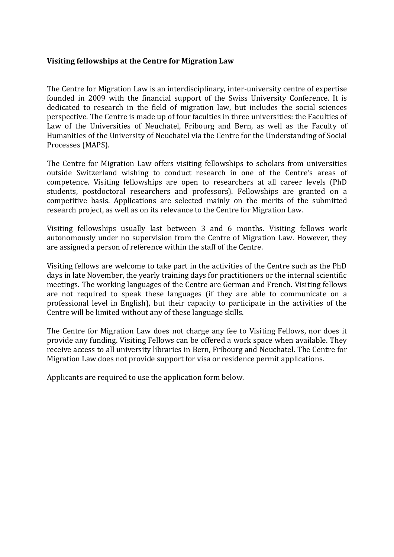#### **Visiting fellowships at the Centre for Migration Law**

The Centre for Migration Law is an interdisciplinary, inter-university centre of expertise founded in 2009 with the financial support of the Swiss University Conference. It is dedicated to research in the field of migration law, but includes the social sciences perspective. The Centre is made up of four faculties in three universities: the Faculties of Law of the Universities of Neuchatel, Fribourg and Bern, as well as the Faculty of Humanities of the University of Neuchatel via the Centre for the Understanding of Social Processes (MAPS).

The Centre for Migration Law offers visiting fellowships to scholars from universities outside Switzerland wishing to conduct research in one of the Centre's areas of competence. Visiting fellowships are open to researchers at all career levels (PhD students, postdoctoral researchers and professors). Fellowships are granted on a competitive basis. Applications are selected mainly on the merits of the submitted research project, as well as on its relevance to the Centre for Migration Law.

Visiting fellowships usually last between 3 and 6 months. Visiting fellows work autonomously under no supervision from the Centre of Migration Law. However, they are assigned a person of reference within the staff of the Centre.

Visiting fellows are welcome to take part in the activities of the Centre such as the PhD days in late November, the yearly training days for practitioners or the internal scientific meetings. The working languages of the Centre are German and French. Visiting fellows are not required to speak these languages (if they are able to communicate on a professional level in English), but their capacity to participate in the activities of the Centre will be limited without any of these language skills.

The Centre for Migration Law does not charge any fee to Visiting Fellows, nor does it provide any funding. Visiting Fellows can be offered a work space when available. They receive access to all university libraries in Bern, Fribourg and Neuchatel. The Centre for Migration Law does not provide support for visa or residence permit applications.

Applicants are required to use the application form below.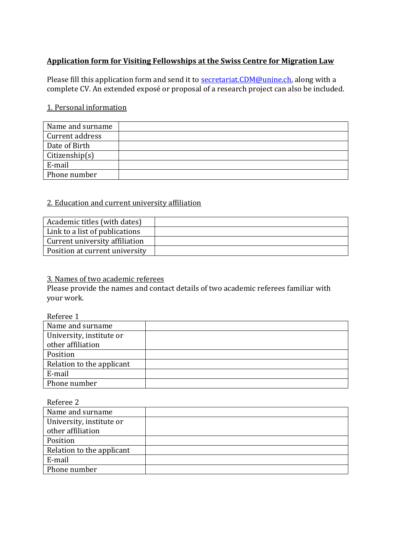# **Application form for Visiting Fellowships at the Swiss Centre for Migration Law**

Please fill this application form and send it to **secretariat.CDM@unine.ch**, along with a complete CV. An extended exposé or proposal of a research project can also be included.

## 1. Personal information

| Name and surname |  |
|------------------|--|
| Current address  |  |
| Date of Birth    |  |
| Citizenship(s)   |  |
| E-mail           |  |
| Phone number     |  |

### 2. Education and current university affiliation

| Academic titles (with dates)   |  |
|--------------------------------|--|
| Link to a list of publications |  |
| Current university affiliation |  |
| Position at current university |  |

### 3. Names of two academic referees

Please provide the names and contact details of two academic referees familiar with your work.

#### Referee 1

| Name and surname          |  |
|---------------------------|--|
| University, institute or  |  |
| other affiliation         |  |
| Position                  |  |
| Relation to the applicant |  |
| E-mail                    |  |
| Phone number              |  |

Referee 2